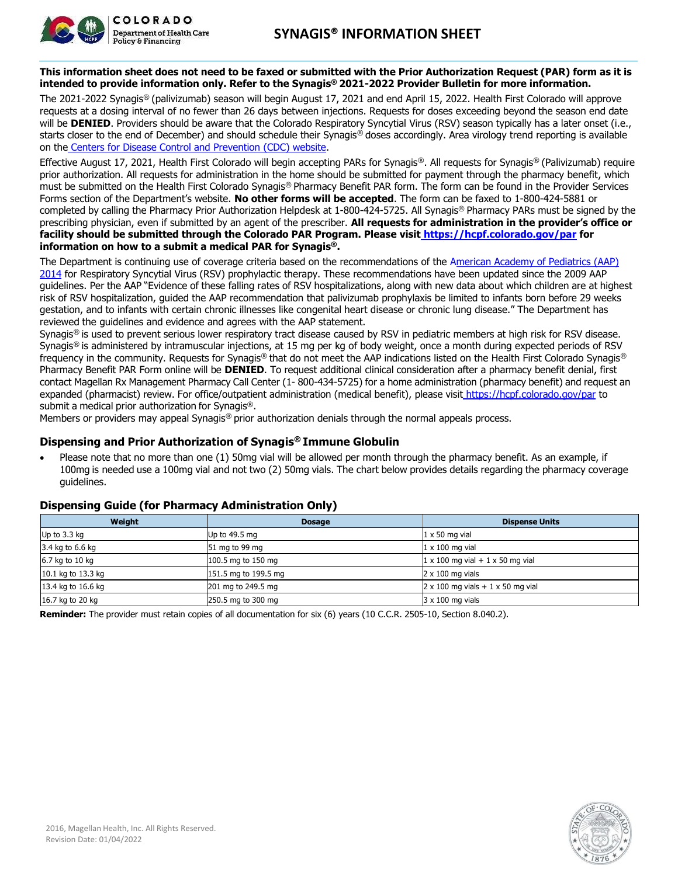

This information sheet does not need to be faxed or submitted with the Prior Authorization Request (PAR) form as it is **intended to provide information only. Refer to the Synagis® 2021-2022 Provider Bulletin for more information.**

The 2021-2022 Synagis® (palivizumab) season will begin August 17, 2021 and end April 15, 2022. Health First Colorado will approve requests at a dosing interval of no fewer than 26 days between injections. Requests for doses exceeding beyond the season end date will be DENIED. Providers should be aware that the Colorado Respiratory Syncytial Virus (RSV) season typically has a later onset (i.e., starts closer to the end of December) and should schedule their Synagis® doses accordingly. Area virology trend reporting is available on the Centers for Disease Control and Prevention (CDC) website.

Effective August 17, 2021, Health First Colorado will begin accepting PARs for Synagis®. All requests for Synagis® (Palivizumab) require prior authorization. All requests for administration in the home should be submitted for payment through the pharmacy benefit, which must be submitted on the Health First Colorado Synagis® Pharmacy Benefit PAR form. The form can be found in the Provider Services Forms section of the Department's website. **No other forms will be accepted**. The form can be faxed to 1-800-424-5881 or completed by calling the Pharmacy Prior Authorization Helpdesk at 1-800-424-5725. All Synagis® Pharmacy PARs must be signed by the prescribing physician, even if submitted by an agent of the prescriber. **All requests for administration in the provider's office or facility should be submitted through the Colorado PAR Program. Please visit https://hcpf.colorado.gov/par for information on how to a submit a medical PAR for Synagis®.**

The Department is continuing use of coverage criteria based on the recommendations of the American Academy of Pediatrics (AAP) 2014 for Respiratory Syncytial Virus (RSV) prophylactic therapy. These recommendations have been updated since the 2009 AAP guidelines. Per the AAP "Evidence of these falling rates of RSV hospitalizations, along with new data about which children are at highest risk of RSV hospitalization, guided the AAP recommendation that palivizumab prophylaxis be limited to infants born before 29 weeks gestation, and to infants with certain chronic illnesses like congenital heart disease or chronic lung disease." The Department has reviewed the guidelines and evidence and agrees with the AAP statement.

Synagis® is used to prevent serious lower respiratory tract disease caused by RSV in pediatric members at high risk for RSV disease. Synagis® is administered by intramuscular injections, at 15 mg per kg of body weight, once a month during expected periods of RSV frequency in the community. Requests for Synagis® that do not meet the AAP indications listed on the Health First Colorado Synagis® Pharmacy Benefit PAR Form online will be **DENIED**. To request additional clinical consideration after a pharmacy benefit denial, first contact Magellan Rx Management Pharmacy Call Center (1- 800-434-5725) for a home administration (pharmacy benefit) and request an expanded (pharmacist) review. For office/outpatient administration (medical benefit), please visit https://hcpf.colorado.gov/par to submit a medical prior authorization for Synagis®.

Members or providers may appeal Synagis® prior authorization denials through the normal appeals process.

## **Dispensing and Prior Authorization of Synagis® Immune Globulin**

• Please note that no more than one (1) 50mg vial will be allowed per month through the pharmacy benefit. As an example, if 100mg is needed use a 100mg vial and not two (2) 50mg vials. The chart below provides details regarding the pharmacy coverage guidelines.

| Weight             | <b>Dosage</b>        | <b>Dispense Units</b>                          |  |  |  |  |  |  |
|--------------------|----------------------|------------------------------------------------|--|--|--|--|--|--|
| Up to 3.3 kg       | Up to 49.5 mg        | $1 \times 50$ mg vial                          |  |  |  |  |  |  |
| 3.4 kg to 6.6 kg   | 51 mg to 99 mg       | $1 \times 100$ mg vial                         |  |  |  |  |  |  |
| 6.7 kg to 10 kg    | 100.5 mg to 150 mg   | $1 \times 100$ mg vial + $1 \times 50$ mg vial |  |  |  |  |  |  |
| 10.1 kg to 13.3 kg | 151.5 mg to 199.5 mg | $2 \times 100$ mg vials                        |  |  |  |  |  |  |
| 13.4 kg to 16.6 kg | 201 mg to 249.5 mg   | $2 \times 100$ mg vials + 1 x 50 mg vial       |  |  |  |  |  |  |
| 16.7 kg to 20 kg   | 250.5 mg to 300 mg   | $3 \times 100$ mg vials                        |  |  |  |  |  |  |

## **Dispensing Guide (for Pharmacy Administration Only)**

**Reminder:** The provider must retain copies of all documentation for six (6) years (10 C.C.R. 2505-10, Section 8.040.2).

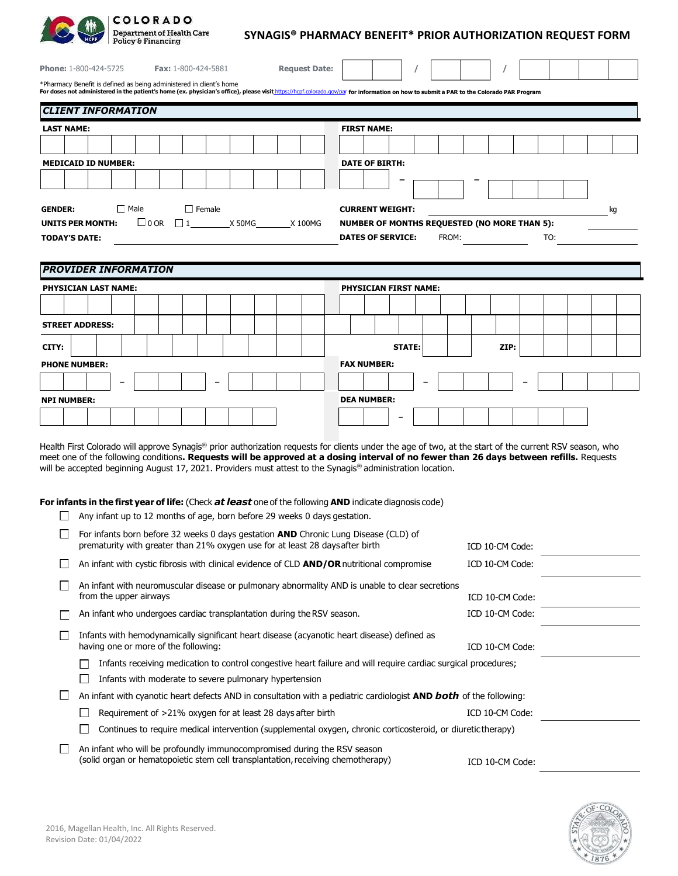|                                                                                                                                                                                                                                                                 |                             | COLORADO<br><b>Department of Health Care</b><br><b>Policy &amp; Financing</b> |                        |  |             |                                      |               |                      | SYNAGIS® PHARMACY BENEFIT* PRIOR AUTHORIZATION REQUEST FORM |  |                                                        |                                                                                                                                                                                                                                                                                                                                                                                                                                                                                                                                                                                                                               |                                                                                                                    |  |  |      |       |  |  |                 |  |     |  |  |  |    |
|-----------------------------------------------------------------------------------------------------------------------------------------------------------------------------------------------------------------------------------------------------------------|-----------------------------|-------------------------------------------------------------------------------|------------------------|--|-------------|--------------------------------------|---------------|----------------------|-------------------------------------------------------------|--|--------------------------------------------------------|-------------------------------------------------------------------------------------------------------------------------------------------------------------------------------------------------------------------------------------------------------------------------------------------------------------------------------------------------------------------------------------------------------------------------------------------------------------------------------------------------------------------------------------------------------------------------------------------------------------------------------|--------------------------------------------------------------------------------------------------------------------|--|--|------|-------|--|--|-----------------|--|-----|--|--|--|----|
| Phone: 1-800-424-5725<br><b>Fax: 1-800-424-5881</b>                                                                                                                                                                                                             |                             |                                                                               |                        |  |             |                                      |               | <b>Request Date:</b> |                                                             |  |                                                        |                                                                                                                                                                                                                                                                                                                                                                                                                                                                                                                                                                                                                               |                                                                                                                    |  |  |      |       |  |  |                 |  |     |  |  |  |    |
| *Pharmacy Benefit is defined as being administered in client's home<br>For doses not administered in the patient's home (ex. physician's office), please visit https://hcpf.colorado.gov/par for information on how to submit a PAR to the Colorado PAR Program |                             |                                                                               |                        |  |             |                                      |               |                      |                                                             |  |                                                        |                                                                                                                                                                                                                                                                                                                                                                                                                                                                                                                                                                                                                               |                                                                                                                    |  |  |      |       |  |  |                 |  |     |  |  |  |    |
| <b>CLIENT INFORMATION</b>                                                                                                                                                                                                                                       |                             |                                                                               |                        |  |             |                                      |               |                      |                                                             |  |                                                        |                                                                                                                                                                                                                                                                                                                                                                                                                                                                                                                                                                                                                               |                                                                                                                    |  |  |      |       |  |  |                 |  |     |  |  |  |    |
| <b>LAST NAME:</b>                                                                                                                                                                                                                                               |                             |                                                                               |                        |  |             |                                      |               |                      |                                                             |  |                                                        |                                                                                                                                                                                                                                                                                                                                                                                                                                                                                                                                                                                                                               | <b>FIRST NAME:</b>                                                                                                 |  |  |      |       |  |  |                 |  |     |  |  |  |    |
|                                                                                                                                                                                                                                                                 |                             |                                                                               |                        |  |             |                                      |               |                      |                                                             |  |                                                        |                                                                                                                                                                                                                                                                                                                                                                                                                                                                                                                                                                                                                               |                                                                                                                    |  |  |      |       |  |  |                 |  |     |  |  |  |    |
| <b>MEDICAID ID NUMBER:</b>                                                                                                                                                                                                                                      |                             |                                                                               |                        |  |             |                                      |               |                      |                                                             |  |                                                        |                                                                                                                                                                                                                                                                                                                                                                                                                                                                                                                                                                                                                               | <b>DATE OF BIRTH:</b>                                                                                              |  |  |      |       |  |  |                 |  |     |  |  |  |    |
|                                                                                                                                                                                                                                                                 |                             |                                                                               |                        |  |             |                                      |               |                      |                                                             |  |                                                        |                                                                                                                                                                                                                                                                                                                                                                                                                                                                                                                                                                                                                               |                                                                                                                    |  |  |      |       |  |  |                 |  |     |  |  |  |    |
| <b>GENDER:</b>                                                                                                                                                                                                                                                  |                             |                                                                               | $\Box$ Male            |  |             |                                      | $\Box$ Female |                      |                                                             |  |                                                        |                                                                                                                                                                                                                                                                                                                                                                                                                                                                                                                                                                                                                               | <b>CURRENT WEIGHT:</b>                                                                                             |  |  |      |       |  |  |                 |  |     |  |  |  | kg |
| <b>UNITS PER MONTH:</b>                                                                                                                                                                                                                                         |                             |                                                                               |                        |  | $\Box$ 0 OR | $\Box$ 1                             |               |                      |                                                             |  | X 50MG X 100MG                                         |                                                                                                                                                                                                                                                                                                                                                                                                                                                                                                                                                                                                                               | <b>NUMBER OF MONTHS REQUESTED (NO MORE THAN 5):</b>                                                                |  |  |      |       |  |  |                 |  |     |  |  |  |    |
| <b>TODAY'S DATE:</b>                                                                                                                                                                                                                                            |                             |                                                                               |                        |  |             |                                      |               |                      |                                                             |  |                                                        |                                                                                                                                                                                                                                                                                                                                                                                                                                                                                                                                                                                                                               | <b>DATES OF SERVICE:</b>                                                                                           |  |  |      | FROM: |  |  |                 |  | TO: |  |  |  |    |
|                                                                                                                                                                                                                                                                 |                             |                                                                               |                        |  |             |                                      |               |                      |                                                             |  |                                                        |                                                                                                                                                                                                                                                                                                                                                                                                                                                                                                                                                                                                                               |                                                                                                                    |  |  |      |       |  |  |                 |  |     |  |  |  |    |
| <b>PROVIDER INFORMATION</b>                                                                                                                                                                                                                                     |                             |                                                                               |                        |  |             |                                      |               |                      |                                                             |  |                                                        |                                                                                                                                                                                                                                                                                                                                                                                                                                                                                                                                                                                                                               |                                                                                                                    |  |  |      |       |  |  |                 |  |     |  |  |  |    |
|                                                                                                                                                                                                                                                                 | PHYSICIAN LAST NAME:        |                                                                               |                        |  |             |                                      |               |                      |                                                             |  |                                                        |                                                                                                                                                                                                                                                                                                                                                                                                                                                                                                                                                                                                                               | <b>PHYSICIAN FIRST NAME:</b>                                                                                       |  |  |      |       |  |  |                 |  |     |  |  |  |    |
|                                                                                                                                                                                                                                                                 |                             |                                                                               |                        |  |             |                                      |               |                      |                                                             |  |                                                        |                                                                                                                                                                                                                                                                                                                                                                                                                                                                                                                                                                                                                               |                                                                                                                    |  |  |      |       |  |  |                 |  |     |  |  |  |    |
| <b>STREET ADDRESS:</b>                                                                                                                                                                                                                                          |                             |                                                                               |                        |  |             |                                      |               |                      |                                                             |  |                                                        |                                                                                                                                                                                                                                                                                                                                                                                                                                                                                                                                                                                                                               |                                                                                                                    |  |  |      |       |  |  |                 |  |     |  |  |  |    |
| CITY:                                                                                                                                                                                                                                                           |                             |                                                                               |                        |  |             |                                      |               |                      |                                                             |  | <b>STATE:</b>                                          |                                                                                                                                                                                                                                                                                                                                                                                                                                                                                                                                                                                                                               |                                                                                                                    |  |  | ZIP: |       |  |  |                 |  |     |  |  |  |    |
|                                                                                                                                                                                                                                                                 | <b>PHONE NUMBER:</b>        |                                                                               |                        |  |             |                                      |               |                      |                                                             |  | <b>FAX NUMBER:</b>                                     |                                                                                                                                                                                                                                                                                                                                                                                                                                                                                                                                                                                                                               |                                                                                                                    |  |  |      |       |  |  |                 |  |     |  |  |  |    |
|                                                                                                                                                                                                                                                                 |                             |                                                                               |                        |  |             |                                      |               |                      |                                                             |  |                                                        |                                                                                                                                                                                                                                                                                                                                                                                                                                                                                                                                                                                                                               |                                                                                                                    |  |  |      |       |  |  |                 |  |     |  |  |  |    |
| <b>NPI NUMBER:</b>                                                                                                                                                                                                                                              |                             |                                                                               |                        |  |             |                                      |               |                      |                                                             |  |                                                        |                                                                                                                                                                                                                                                                                                                                                                                                                                                                                                                                                                                                                               | <b>DEA NUMBER:</b>                                                                                                 |  |  |      |       |  |  |                 |  |     |  |  |  |    |
|                                                                                                                                                                                                                                                                 |                             |                                                                               |                        |  |             |                                      |               |                      |                                                             |  |                                                        |                                                                                                                                                                                                                                                                                                                                                                                                                                                                                                                                                                                                                               |                                                                                                                    |  |  |      |       |  |  |                 |  |     |  |  |  |    |
|                                                                                                                                                                                                                                                                 |                             |                                                                               |                        |  |             |                                      |               |                      |                                                             |  |                                                        | Health First Colorado will approve Synagis® prior authorization requests for clients under the age of two, at the start of the current RSV season, who<br>meet one of the following conditions. Requests will be approved at a dosing interval of no fewer than 26 days between refills. Requests<br>will be accepted beginning August 17, 2021. Providers must attest to the Synagis® administration location.<br><b>For infants in the first year of life:</b> (Check <b>at least</b> one of the following <b>AND</b> indicate diagnosis code)<br>Any infant up to 12 months of age, born before 29 weeks 0 days gestation. |                                                                                                                    |  |  |      |       |  |  |                 |  |     |  |  |  |    |
|                                                                                                                                                                                                                                                                 |                             |                                                                               |                        |  |             |                                      |               |                      |                                                             |  |                                                        | For infants born before 32 weeks 0 days gestation AND Chronic Lung Disease (CLD) of<br>prematurity with greater than 21% oxygen use for at least 28 days after birth                                                                                                                                                                                                                                                                                                                                                                                                                                                          |                                                                                                                    |  |  |      |       |  |  | ICD 10-CM Code: |  |     |  |  |  |    |
|                                                                                                                                                                                                                                                                 |                             |                                                                               |                        |  |             |                                      |               |                      |                                                             |  |                                                        | An infant with cystic fibrosis with clinical evidence of CLD <b>AND/OR</b> nutritional compromise                                                                                                                                                                                                                                                                                                                                                                                                                                                                                                                             |                                                                                                                    |  |  |      |       |  |  | ICD 10-CM Code: |  |     |  |  |  |    |
|                                                                                                                                                                                                                                                                 |                             |                                                                               | from the upper airways |  |             |                                      |               |                      |                                                             |  |                                                        |                                                                                                                                                                                                                                                                                                                                                                                                                                                                                                                                                                                                                               | An infant with neuromuscular disease or pulmonary abnormality AND is unable to clear secretions<br>ICD 10-CM Code: |  |  |      |       |  |  |                 |  |     |  |  |  |    |
|                                                                                                                                                                                                                                                                 |                             |                                                                               |                        |  |             |                                      |               |                      |                                                             |  |                                                        | An infant who undergoes cardiac transplantation during the RSV season.                                                                                                                                                                                                                                                                                                                                                                                                                                                                                                                                                        | ICD 10-CM Code:                                                                                                    |  |  |      |       |  |  |                 |  |     |  |  |  |    |
|                                                                                                                                                                                                                                                                 |                             |                                                                               |                        |  |             | having one or more of the following: |               |                      |                                                             |  |                                                        | Infants with hemodynamically significant heart disease (acyanotic heart disease) defined as                                                                                                                                                                                                                                                                                                                                                                                                                                                                                                                                   |                                                                                                                    |  |  |      |       |  |  | ICD 10-CM Code: |  |     |  |  |  |    |
|                                                                                                                                                                                                                                                                 |                             |                                                                               |                        |  |             |                                      |               |                      |                                                             |  |                                                        | Infants receiving medication to control congestive heart failure and will require cardiac surgical procedures;                                                                                                                                                                                                                                                                                                                                                                                                                                                                                                                |                                                                                                                    |  |  |      |       |  |  |                 |  |     |  |  |  |    |
|                                                                                                                                                                                                                                                                 |                             |                                                                               |                        |  |             |                                      |               |                      |                                                             |  | Infants with moderate to severe pulmonary hypertension |                                                                                                                                                                                                                                                                                                                                                                                                                                                                                                                                                                                                                               |                                                                                                                    |  |  |      |       |  |  |                 |  |     |  |  |  |    |
| ∟                                                                                                                                                                                                                                                               |                             |                                                                               |                        |  |             |                                      |               |                      |                                                             |  |                                                        | An infant with cyanotic heart defects AND in consultation with a pediatric cardiologist AND both of the following:                                                                                                                                                                                                                                                                                                                                                                                                                                                                                                            |                                                                                                                    |  |  |      |       |  |  |                 |  |     |  |  |  |    |
|                                                                                                                                                                                                                                                                 | $\mathcal{L}_{\mathcal{A}}$ |                                                                               |                        |  |             |                                      |               |                      |                                                             |  |                                                        | Requirement of >21% oxygen for at least 28 days after birth                                                                                                                                                                                                                                                                                                                                                                                                                                                                                                                                                                   |                                                                                                                    |  |  |      |       |  |  | ICD 10-CM Code: |  |     |  |  |  |    |
|                                                                                                                                                                                                                                                                 |                             |                                                                               |                        |  |             |                                      |               |                      |                                                             |  |                                                        | Continues to require medical intervention (supplemental oxygen, chronic corticosteroid, or diuretic therapy)                                                                                                                                                                                                                                                                                                                                                                                                                                                                                                                  |                                                                                                                    |  |  |      |       |  |  |                 |  |     |  |  |  |    |
|                                                                                                                                                                                                                                                                 |                             |                                                                               |                        |  |             |                                      |               |                      |                                                             |  |                                                        | An infant who will be profoundly immunocompromised during the RSV season<br>(solid organ or hematopoietic stem cell transplantation, receiving chemotherapy)                                                                                                                                                                                                                                                                                                                                                                                                                                                                  |                                                                                                                    |  |  |      |       |  |  | ICD 10-CM Code: |  |     |  |  |  |    |